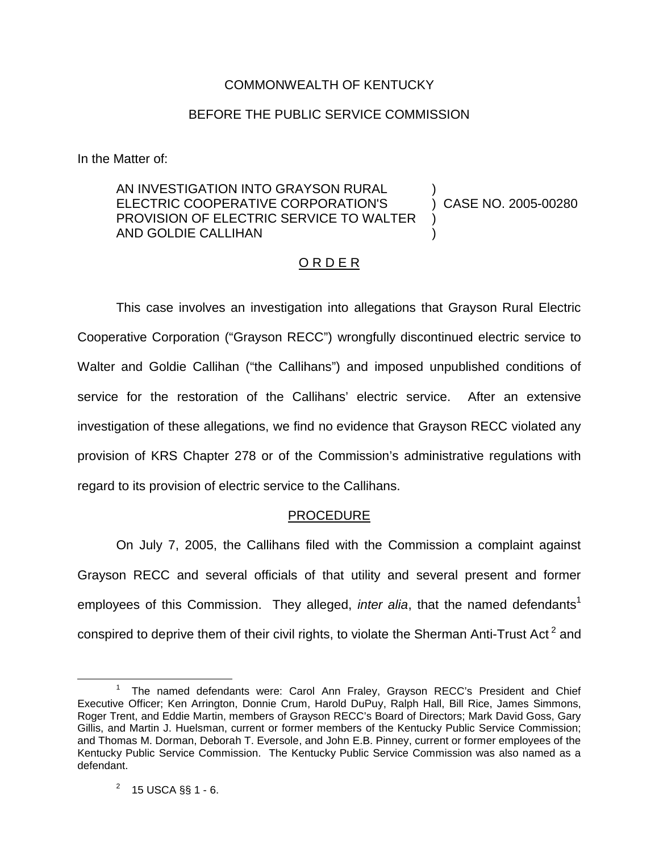### COMMONWEALTH OF KENTUCKY

### BEFORE THE PUBLIC SERVICE COMMISSION

In the Matter of:

#### AN INVESTIGATION INTO GRAYSON RURAL ELECTRIC COOPERATIVE CORPORATION'S PROVISION OF ELECTRIC SERVICE TO WALTER AND GOLDIE CALLIHAN ) ) CASE NO. 2005-00280 ) )

## O R D E R

This case involves an investigation into allegations that Grayson Rural Electric Cooperative Corporation ("Grayson RECC") wrongfully discontinued electric service to Walter and Goldie Callihan ("the Callihans") and imposed unpublished conditions of service for the restoration of the Callihans' electric service. After an extensive investigation of these allegations, we find no evidence that Grayson RECC violated any provision of KRS Chapter 278 or of the Commission's administrative regulations with regard to its provision of electric service to the Callihans.

#### PROCEDURE

On July 7, 2005, the Callihans filed with the Commission a complaint against Grayson RECC and several officials of that utility and several present and former employees of this Commission. They alleged, *inter alia*, that the named defendants<sup>1</sup> conspired to deprive them of their civil rights, to violate the Sherman Anti-Trust Act<sup>2</sup> and

<sup>&</sup>lt;sup>1</sup> The named defendants were: Carol Ann Fraley, Grayson RECC's President and Chief Executive Officer; Ken Arrington, Donnie Crum, Harold DuPuy, Ralph Hall, Bill Rice, James Simmons, Roger Trent, and Eddie Martin, members of Grayson RECC's Board of Directors; Mark David Goss, Gary Gillis, and Martin J. Huelsman, current or former members of the Kentucky Public Service Commission; and Thomas M. Dorman, Deborah T. Eversole, and John E.B. Pinney, current or former employees of the Kentucky Public Service Commission. The Kentucky Public Service Commission was also named as a defendant.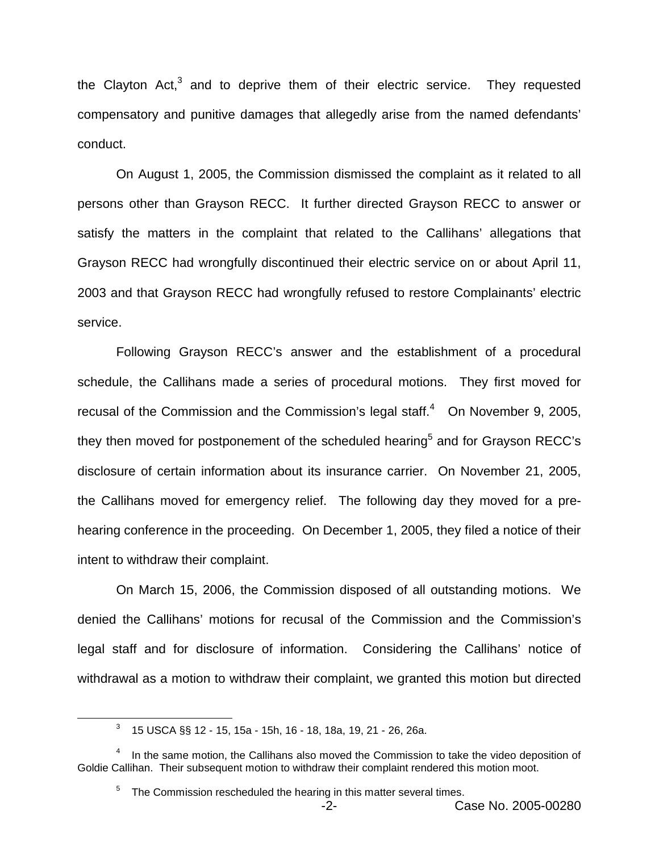the Clayton Act, $3$  and to deprive them of their electric service. They requested compensatory and punitive damages that allegedly arise from the named defendants' conduct.

On August 1, 2005, the Commission dismissed the complaint as it related to all persons other than Grayson RECC. It further directed Grayson RECC to answer or satisfy the matters in the complaint that related to the Callihans' allegations that Grayson RECC had wrongfully discontinued their electric service on or about April 11, 2003 and that Grayson RECC had wrongfully refused to restore Complainants' electric service.

Following Grayson RECC's answer and the establishment of a procedural schedule, the Callihans made a series of procedural motions. They first moved for recusal of the Commission and the Commission's legal staff. $4$  On November 9, 2005, they then moved for postponement of the scheduled hearing<sup>5</sup> and for Grayson RECC's disclosure of certain information about its insurance carrier. On November 21, 2005, the Callihans moved for emergency relief. The following day they moved for a prehearing conference in the proceeding. On December 1, 2005, they filed a notice of their intent to withdraw their complaint.

On March 15, 2006, the Commission disposed of all outstanding motions. We denied the Callihans' motions for recusal of the Commission and the Commission's legal staff and for disclosure of information. Considering the Callihans' notice of withdrawal as a motion to withdraw their complaint, we granted this motion but directed

<sup>3</sup> 15 USCA §§ 12 - 15, 15a - 15h, 16 - 18, 18a, 19, 21 - 26, 26a.

 $4$  In the same motion, the Callihans also moved the Commission to take the video deposition of Goldie Callihan. Their subsequent motion to withdraw their complaint rendered this motion moot.

The Commission rescheduled the hearing in this matter several times.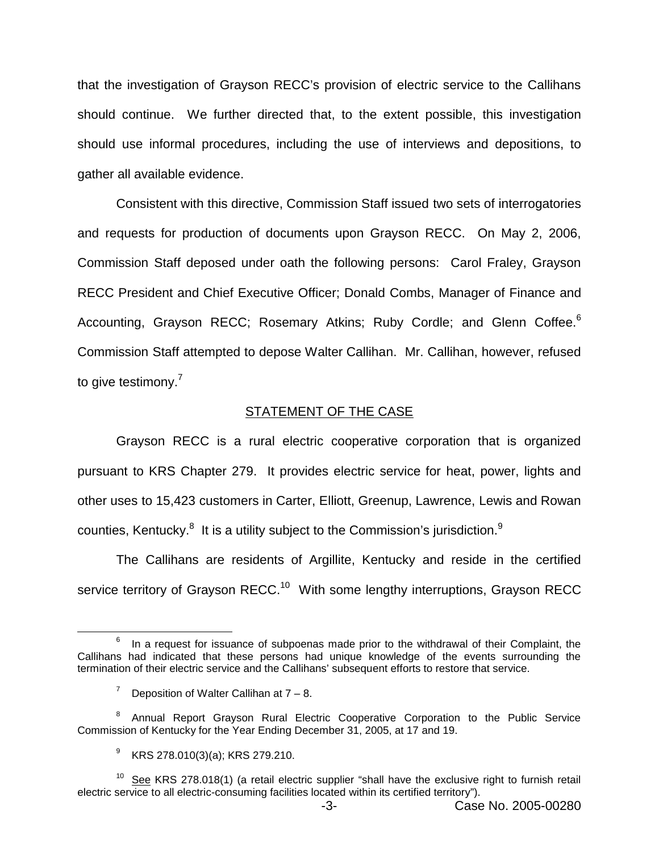that the investigation of Grayson RECC's provision of electric service to the Callihans should continue. We further directed that, to the extent possible, this investigation should use informal procedures, including the use of interviews and depositions, to gather all available evidence.

Consistent with this directive, Commission Staff issued two sets of interrogatories and requests for production of documents upon Grayson RECC. On May 2, 2006, Commission Staff deposed under oath the following persons: Carol Fraley, Grayson RECC President and Chief Executive Officer; Donald Combs, Manager of Finance and Accounting, Grayson RECC; Rosemary Atkins; Ruby Cordle; and Glenn Coffee.<sup>6</sup> Commission Staff attempted to depose Walter Callihan. Mr. Callihan, however, refused to give testimony.<sup>7</sup>

#### **STATEMENT OF THE CASE**

Grayson RECC is a rural electric cooperative corporation that is organized pursuant to KRS Chapter 279. It provides electric service for heat, power, lights and other uses to 15,423 customers in Carter, Elliott, Greenup, Lawrence, Lewis and Rowan counties, Kentucky. $8$  It is a utility subject to the Commission's jurisdiction. $9$ 

The Callihans are residents of Argillite, Kentucky and reside in the certified service territory of Grayson RECC.<sup>10</sup> With some lengthy interruptions, Grayson RECC

In a request for issuance of subpoenas made prior to the withdrawal of their Complaint, the Callihans had indicated that these persons had unique knowledge of the events surrounding the termination of their electric service and the Callihans' subsequent efforts to restore that service.

<sup>&</sup>lt;sup>7</sup> Deposition of Walter Callihan at  $7 - 8$ .

<sup>&</sup>lt;sup>8</sup> Annual Report Grayson Rural Electric Cooperative Corporation to the Public Service Commission of Kentucky for the Year Ending December 31, 2005, at 17 and 19.

 $9$  KRS 278.010(3)(a); KRS 279.210.

 $10$  See KRS 278.018(1) (a retail electric supplier "shall have the exclusive right to furnish retail electric service to all electric-consuming facilities located within its certified territory").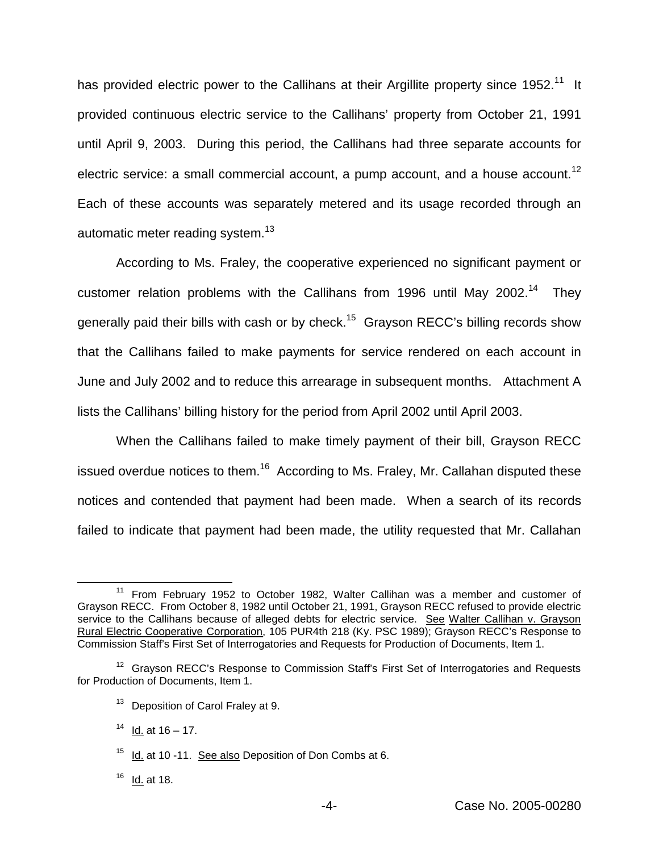has provided electric power to the Callihans at their Argillite property since 1952.<sup>11</sup> It provided continuous electric service to the Callihans' property from October 21, 1991 until April 9, 2003. During this period, the Callihans had three separate accounts for electric service: a small commercial account, a pump account, and a house account.<sup>12</sup> Each of these accounts was separately metered and its usage recorded through an automatic meter reading system.<sup>13</sup>

According to Ms. Fraley, the cooperative experienced no significant payment or customer relation problems with the Callihans from 1996 until May 2002.<sup>14</sup> They generally paid their bills with cash or by check.<sup>15</sup> Grayson RECC's billing records show that the Callihans failed to make payments for service rendered on each account in June and July 2002 and to reduce this arrearage in subsequent months. Attachment A lists the Callihans' billing history for the period from April 2002 until April 2003.

When the Callihans failed to make timely payment of their bill, Grayson RECC issued overdue notices to them.<sup>16</sup> According to Ms. Fraley, Mr. Callahan disputed these notices and contended that payment had been made. When a search of its records failed to indicate that payment had been made, the utility requested that Mr. Callahan

<sup>13</sup> Deposition of Carol Fraley at 9.

 $14$  Id. at  $16 - 17$ .

 $16$  Id. at 18.

 $11$  From February 1952 to October 1982, Walter Callihan was a member and customer of Grayson RECC. From October 8, 1982 until October 21, 1991, Grayson RECC refused to provide electric service to the Callihans because of alleged debts for electric service. See Walter Callihan v. Grayson Rural Electric Cooperative Corporation, 105 PUR4th 218 (Ky. PSC 1989); Grayson RECC's Response to Commission Staff's First Set of Interrogatories and Requests for Production of Documents, Item 1.

<sup>&</sup>lt;sup>12</sup> Grayson RECC's Response to Commission Staff's First Set of Interrogatories and Requests for Production of Documents, Item 1.

<sup>&</sup>lt;sup>15</sup> Id. at 10 -11. See also Deposition of Don Combs at 6.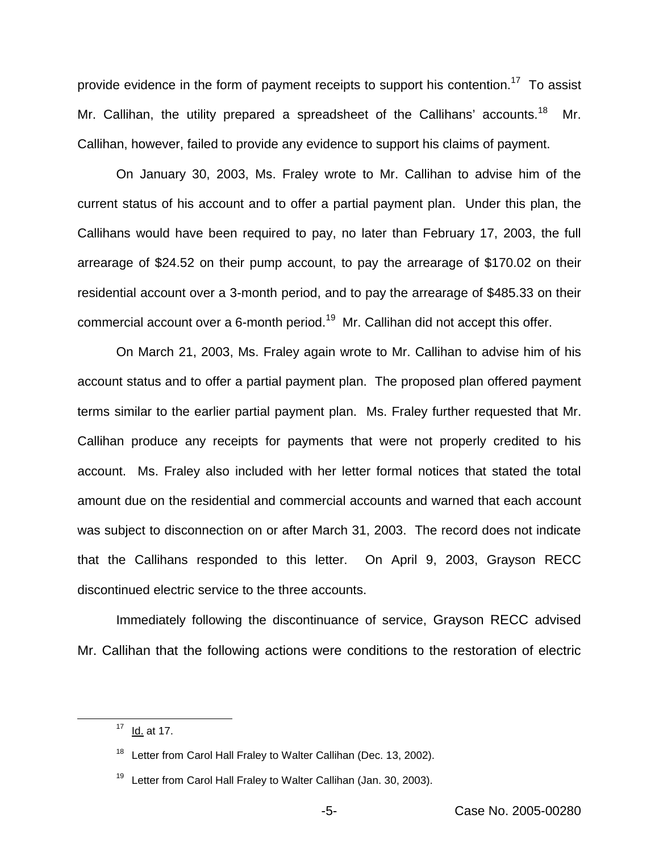provide evidence in the form of payment receipts to support his contention.<sup>17</sup> To assist Mr. Callihan, the utility prepared a spreadsheet of the Callihans' accounts.<sup>18</sup> Mr. Callihan, however, failed to provide any evidence to support his claims of payment.

On January 30, 2003, Ms. Fraley wrote to Mr. Callihan to advise him of the current status of his account and to offer a partial payment plan. Under this plan, the Callihans would have been required to pay, no later than February 17, 2003, the full arrearage of \$24.52 on their pump account, to pay the arrearage of \$170.02 on their residential account over a 3-month period, and to pay the arrearage of \$485.33 on their commercial account over a 6-month period.<sup>19</sup> Mr. Callihan did not accept this offer.

On March 21, 2003, Ms. Fraley again wrote to Mr. Callihan to advise him of his account status and to offer a partial payment plan. The proposed plan offered payment terms similar to the earlier partial payment plan. Ms. Fraley further requested that Mr. Callihan produce any receipts for payments that were not properly credited to his account. Ms. Fraley also included with her letter formal notices that stated the total amount due on the residential and commercial accounts and warned that each account was subject to disconnection on or after March 31, 2003. The record does not indicate that the Callihans responded to this letter. On April 9, 2003, Grayson RECC discontinued electric service to the three accounts.

Immediately following the discontinuance of service, Grayson RECC advised Mr. Callihan that the following actions were conditions to the restoration of electric

 $17$  Id. at 17.

Letter from Carol Hall Fraley to Walter Callihan (Dec. 13, 2002).

 $19$  Letter from Carol Hall Fraley to Walter Callihan (Jan. 30, 2003).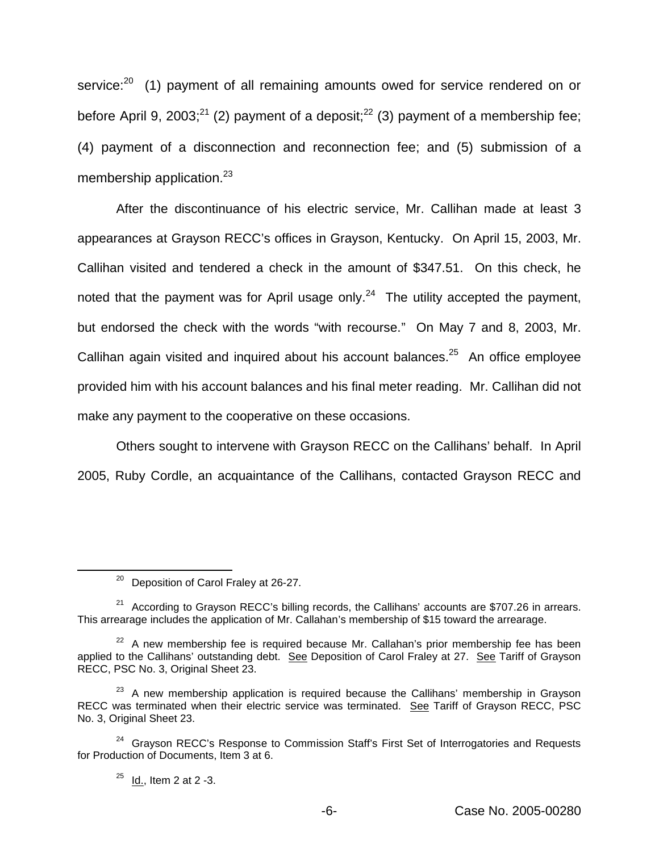service:<sup>20</sup> (1) payment of all remaining amounts owed for service rendered on or before April 9, 2003;<sup>21</sup> (2) payment of a deposit;<sup>22</sup> (3) payment of a membership fee; (4) payment of a disconnection and reconnection fee; and (5) submission of a membership application. $23$ 

After the discontinuance of his electric service, Mr. Callihan made at least 3 appearances at Grayson RECC's offices in Grayson, Kentucky. On April 15, 2003, Mr. Callihan visited and tendered a check in the amount of \$347.51. On this check, he noted that the payment was for April usage only. $24$  The utility accepted the payment, but endorsed the check with the words "with recourse." On May 7 and 8, 2003, Mr. Callihan again visited and inquired about his account balances.<sup>25</sup> An office employee provided him with his account balances and his final meter reading. Mr. Callihan did not make any payment to the cooperative on these occasions.

Others sought to intervene with Grayson RECC on the Callihans' behalf. In April 2005, Ruby Cordle, an acquaintance of the Callihans, contacted Grayson RECC and

<sup>&</sup>lt;sup>20</sup> Deposition of Carol Fraley at 26-27.

 $21$  According to Grayson RECC's billing records, the Callihans' accounts are \$707.26 in arrears. This arrearage includes the application of Mr. Callahan's membership of \$15 toward the arrearage.

 $22$  A new membership fee is required because Mr. Callahan's prior membership fee has been applied to the Callihans' outstanding debt. See Deposition of Carol Fraley at 27. See Tariff of Grayson RECC, PSC No. 3, Original Sheet 23.

 $23$  A new membership application is required because the Callihans' membership in Grayson RECC was terminated when their electric service was terminated. See Tariff of Grayson RECC, PSC No. 3, Original Sheet 23.

<sup>&</sup>lt;sup>24</sup> Grayson RECC's Response to Commission Staff's First Set of Interrogatories and Requests for Production of Documents, Item 3 at 6.

 $25$  Id., Item 2 at 2 -3.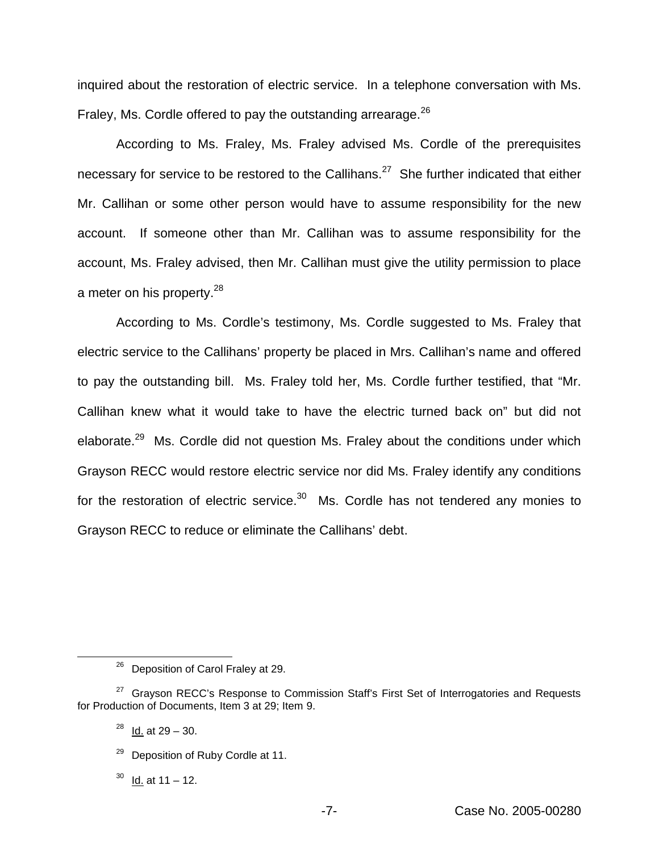inquired about the restoration of electric service. In a telephone conversation with Ms. Fraley, Ms. Cordle offered to pay the outstanding arrearage.<sup>26</sup>

According to Ms. Fraley, Ms. Fraley advised Ms. Cordle of the prerequisites necessary for service to be restored to the Callihans.<sup>27</sup> She further indicated that either Mr. Callihan or some other person would have to assume responsibility for the new account. If someone other than Mr. Callihan was to assume responsibility for the account, Ms. Fraley advised, then Mr. Callihan must give the utility permission to place a meter on his property.<sup>28</sup>

According to Ms. Cordle's testimony, Ms. Cordle suggested to Ms. Fraley that electric service to the Callihans' property be placed in Mrs. Callihan's name and offered to pay the outstanding bill. Ms. Fraley told her, Ms. Cordle further testified, that "Mr. Callihan knew what it would take to have the electric turned back on" but did not elaborate.<sup>29</sup> Ms. Cordle did not question Ms. Fraley about the conditions under which Grayson RECC would restore electric service nor did Ms. Fraley identify any conditions for the restoration of electric service. $30$  Ms. Cordle has not tendered any monies to Grayson RECC to reduce or eliminate the Callihans' debt.

<sup>&</sup>lt;sup>26</sup> Deposition of Carol Fraley at 29.

 $27$  Grayson RECC's Response to Commission Staff's First Set of Interrogatories and Requests for Production of Documents, Item 3 at 29; Item 9.

 $^{28}$  Id. at 29 – 30.

<sup>&</sup>lt;sup>29</sup> Deposition of Ruby Cordle at 11.

 $30$  Id. at 11 – 12.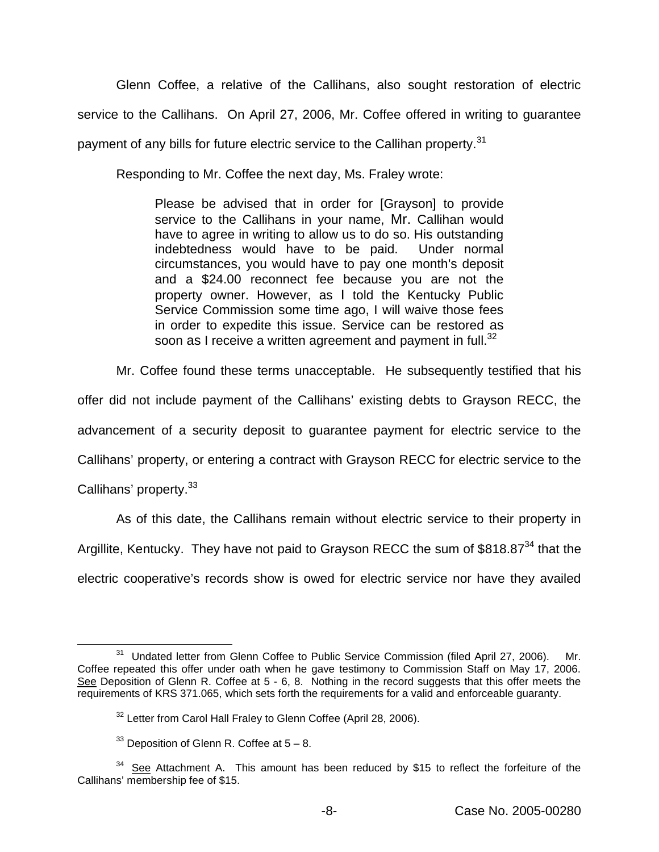Glenn Coffee, a relative of the Callihans, also sought restoration of electric service to the Callihans. On April 27, 2006, Mr. Coffee offered in writing to guarantee payment of any bills for future electric service to the Callihan property.<sup>31</sup>

Responding to Mr. Coffee the next day, Ms. Fraley wrote:

Please be advised that in order for [Grayson] to provide service to the Callihans in your name, Mr. Callihan would have to agree in writing to allow us to do so. His outstanding indebtedness would have to be paid. Under normal circumstances, you would have to pay one month's deposit and a \$24.00 reconnect fee because you are not the property owner. However, as I told the Kentucky Public Service Commission some time ago, I will waive those fees in order to expedite this issue. Service can be restored as soon as I receive a written agreement and payment in full.<sup>32</sup>

Mr. Coffee found these terms unacceptable. He subsequently testified that his offer did not include payment of the Callihans' existing debts to Grayson RECC, the advancement of a security deposit to guarantee payment for electric service to the Callihans' property, or entering a contract with Grayson RECC for electric service to the Callihans' property.<sup>33</sup>

As of this date, the Callihans remain without electric service to their property in Argillite, Kentucky. They have not paid to Grayson RECC the sum of \$818.87<sup>34</sup> that the electric cooperative's records show is owed for electric service nor have they availed

Undated letter from Glenn Coffee to Public Service Commission (filed April 27, 2006). Mr. Coffee repeated this offer under oath when he gave testimony to Commission Staff on May 17, 2006. See Deposition of Glenn R. Coffee at 5 - 6, 8. Nothing in the record suggests that this offer meets the requirements of KRS 371.065, which sets forth the requirements for a valid and enforceable guaranty.

<sup>&</sup>lt;sup>32</sup> Letter from Carol Hall Fraley to Glenn Coffee (April 28, 2006).

 $33$  Deposition of Glenn R. Coffee at  $5 - 8$ .

 $34$  See Attachment A. This amount has been reduced by \$15 to reflect the forfeiture of the Callihans' membership fee of \$15.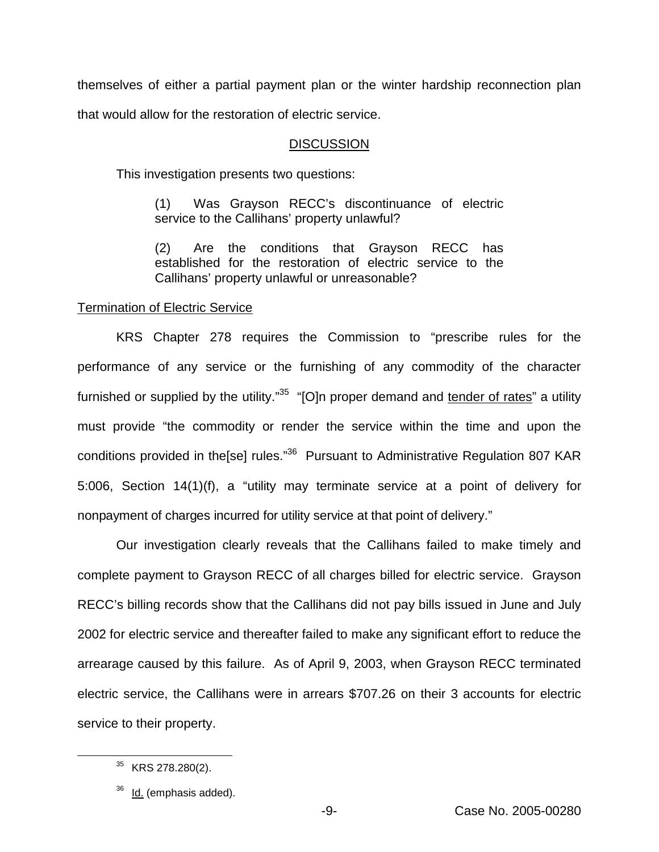themselves of either a partial payment plan or the winter hardship reconnection plan

that would allow for the restoration of electric service.

## **DISCUSSION**

This investigation presents two questions:

(1) Was Grayson RECC's discontinuance of electric service to the Callihans' property unlawful?

(2) Are the conditions that Grayson RECC has established for the restoration of electric service to the Callihans' property unlawful or unreasonable?

## Termination of Electric Service

KRS Chapter 278 requires the Commission to "prescribe rules for the performance of any service or the furnishing of any commodity of the character furnished or supplied by the utility."<sup>35</sup> "[O]n proper demand and tender of rates" a utility must provide "the commodity or render the service within the time and upon the conditions provided in the[se] rules."<sup>36</sup> Pursuant to Administrative Regulation 807 KAR 5:006, Section 14(1)(f), a "utility may terminate service at a point of delivery for nonpayment of charges incurred for utility service at that point of delivery."

Our investigation clearly reveals that the Callihans failed to make timely and complete payment to Grayson RECC of all charges billed for electric service. Grayson RECC's billing records show that the Callihans did not pay bills issued in June and July 2002 for electric service and thereafter failed to make any significant effort to reduce the arrearage caused by this failure. As of April 9, 2003, when Grayson RECC terminated electric service, the Callihans were in arrears \$707.26 on their 3 accounts for electric service to their property.

<sup>&</sup>lt;sup>35</sup> KRS 278.280(2).

Id. (emphasis added).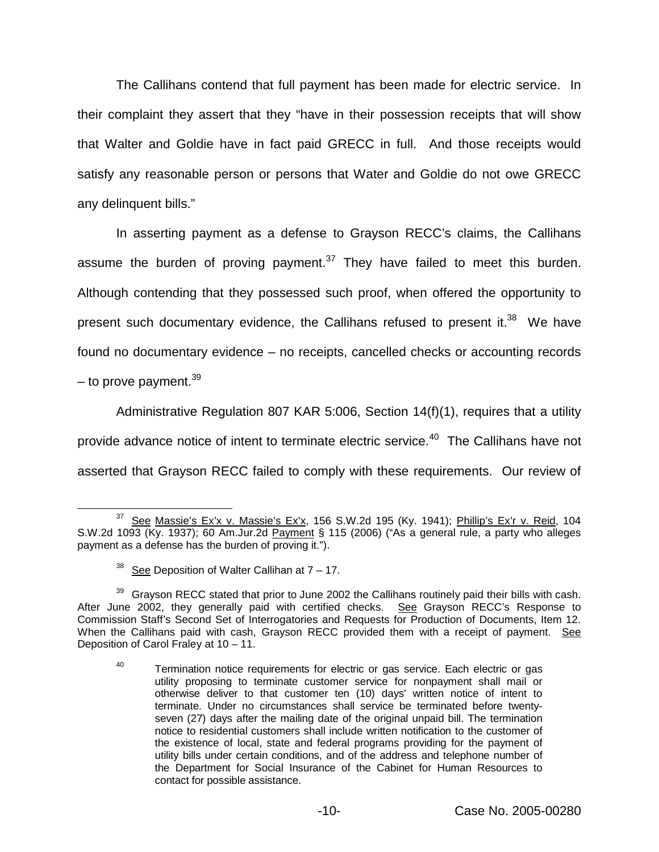The Callihans contend that full payment has been made for electric service. In their complaint they assert that they "have in their possession receipts that will show that Walter and Goldie have in fact paid GRECC in full. And those receipts would satisfy any reasonable person or persons that Water and Goldie do not owe GRECC any delinquent bills."

In asserting payment as a defense to Grayson RECC's claims, the Callihans assume the burden of proving payment. $37$  They have failed to meet this burden. Although contending that they possessed such proof, when offered the opportunity to present such documentary evidence, the Callihans refused to present it. $38$  We have found no documentary evidence – no receipts, cancelled checks or accounting records – to prove payment. $39$ 

Administrative Regulation 807 KAR 5:006, Section 14(f)(1), requires that a utility provide advance notice of intent to terminate electric service.<sup>40</sup> The Callihans have not asserted that Grayson RECC failed to comply with these requirements. Our review of

 $37$  See Massie's Ex'x v. Massie's Ex'x, 156 S.W.2d 195 (Ky. 1941); Phillip's Ex'r v. Reid, 104 S.W.2d 1093 (Ky. 1937); 60 Am.Jur.2d Payment § 115 (2006) ("As a general rule, a party who alleges payment as a defense has the burden of proving it.").

<sup>&</sup>lt;sup>38</sup> See Deposition of Walter Callihan at  $7 - 17$ .

<sup>&</sup>lt;sup>39</sup> Grayson RECC stated that prior to June 2002 the Callihans routinely paid their bills with cash. After June 2002, they generally paid with certified checks. See Grayson RECC's Response to Commission Staff's Second Set of Interrogatories and Requests for Production of Documents, Item 12. When the Callihans paid with cash, Grayson RECC provided them with a receipt of payment. See Deposition of Carol Fraley at 10 – 11.

<sup>&</sup>lt;sup>40</sup> Termination notice requirements for electric or gas service. Each electric or gas utility proposing to terminate customer service for nonpayment shall mail or otherwise deliver to that customer ten (10) days' written notice of intent to terminate. Under no circumstances shall service be terminated before twentyseven (27) days after the mailing date of the original unpaid bill. The termination notice to residential customers shall include written notification to the customer of the existence of local, state and federal programs providing for the payment of utility bills under certain conditions, and of the address and telephone number of the Department for Social Insurance of the Cabinet for Human Resources to contact for possible assistance.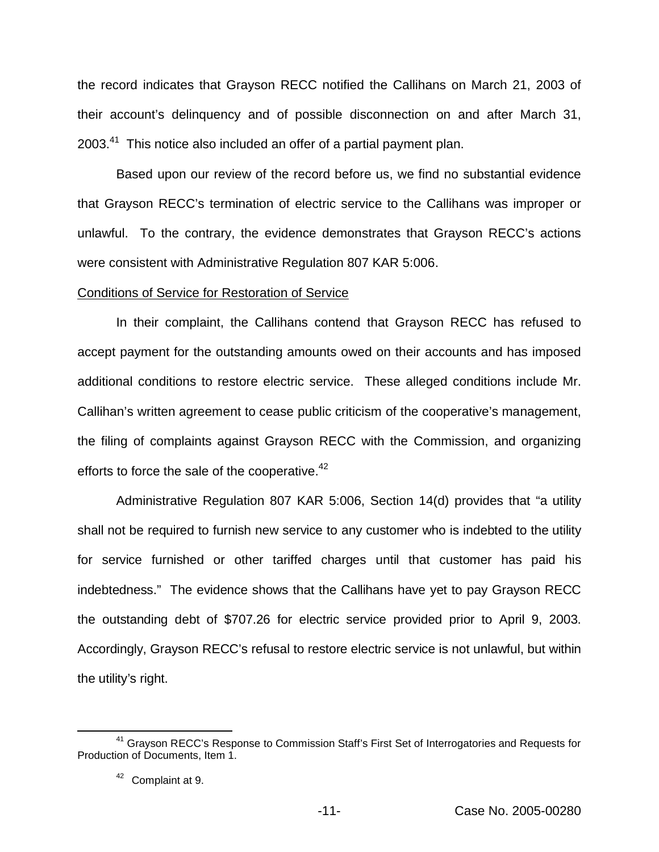the record indicates that Grayson RECC notified the Callihans on March 21, 2003 of their account's delinquency and of possible disconnection on and after March 31,  $2003<sup>41</sup>$  This notice also included an offer of a partial payment plan.

Based upon our review of the record before us, we find no substantial evidence that Grayson RECC's termination of electric service to the Callihans was improper or unlawful. To the contrary, the evidence demonstrates that Grayson RECC's actions were consistent with Administrative Regulation 807 KAR 5:006.

#### Conditions of Service for Restoration of Service

In their complaint, the Callihans contend that Grayson RECC has refused to accept payment for the outstanding amounts owed on their accounts and has imposed additional conditions to restore electric service. These alleged conditions include Mr. Callihan's written agreement to cease public criticism of the cooperative's management, the filing of complaints against Grayson RECC with the Commission, and organizing efforts to force the sale of the cooperative. $42$ 

Administrative Regulation 807 KAR 5:006, Section 14(d) provides that "a utility shall not be required to furnish new service to any customer who is indebted to the utility for service furnished or other tariffed charges until that customer has paid his indebtedness." The evidence shows that the Callihans have yet to pay Grayson RECC the outstanding debt of \$707.26 for electric service provided prior to April 9, 2003. Accordingly, Grayson RECC's refusal to restore electric service is not unlawful, but within the utility's right.

<sup>&</sup>lt;sup>41</sup> Grayson RECC's Response to Commission Staff's First Set of Interrogatories and Requests for Production of Documents, Item 1.

<sup>42</sup> Complaint at 9.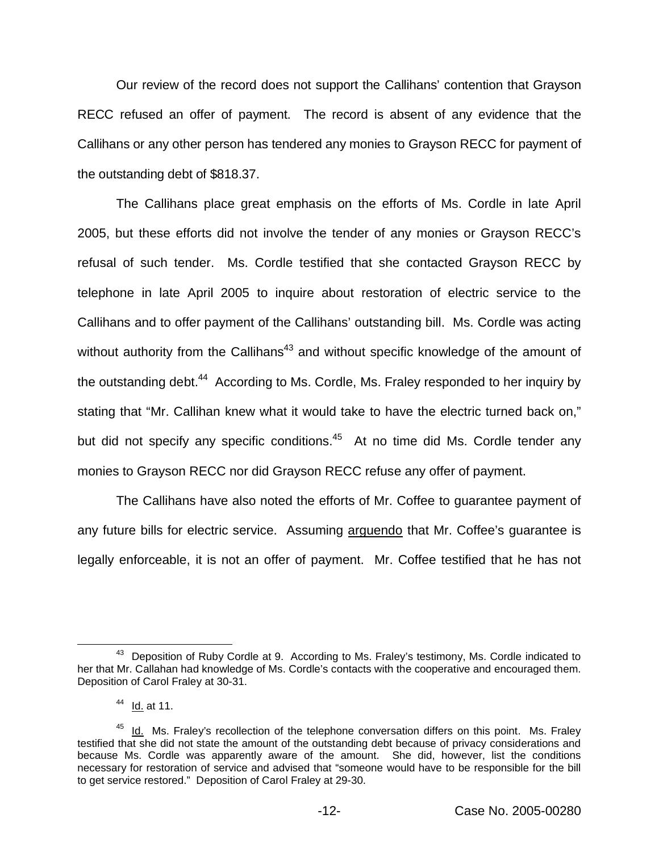Our review of the record does not support the Callihans' contention that Grayson RECC refused an offer of payment. The record is absent of any evidence that the Callihans or any other person has tendered any monies to Grayson RECC for payment of the outstanding debt of \$818.37.

The Callihans place great emphasis on the efforts of Ms. Cordle in late April 2005, but these efforts did not involve the tender of any monies or Grayson RECC's refusal of such tender. Ms. Cordle testified that she contacted Grayson RECC by telephone in late April 2005 to inquire about restoration of electric service to the Callihans and to offer payment of the Callihans' outstanding bill. Ms. Cordle was acting without authority from the Callihans<sup>43</sup> and without specific knowledge of the amount of the outstanding debt.<sup>44</sup> According to Ms. Cordle, Ms. Fraley responded to her inquiry by stating that "Mr. Callihan knew what it would take to have the electric turned back on," but did not specify any specific conditions. $45$  At no time did Ms. Cordle tender any monies to Grayson RECC nor did Grayson RECC refuse any offer of payment.

The Callihans have also noted the efforts of Mr. Coffee to guarantee payment of any future bills for electric service. Assuming arguendo that Mr. Coffee's guarantee is legally enforceable, it is not an offer of payment. Mr. Coffee testified that he has not

<sup>&</sup>lt;sup>43</sup> Deposition of Ruby Cordle at 9. According to Ms. Fraley's testimony, Ms. Cordle indicated to her that Mr. Callahan had knowledge of Ms. Cordle's contacts with the cooperative and encouraged them. Deposition of Carol Fraley at 30-31.

 $44$  Id. at 11.

 $45$  Id. Ms. Fraley's recollection of the telephone conversation differs on this point. Ms. Fraley testified that she did not state the amount of the outstanding debt because of privacy considerations and because Ms. Cordle was apparently aware of the amount. She did, however, list the conditions necessary for restoration of service and advised that "someone would have to be responsible for the bill to get service restored." Deposition of Carol Fraley at 29-30.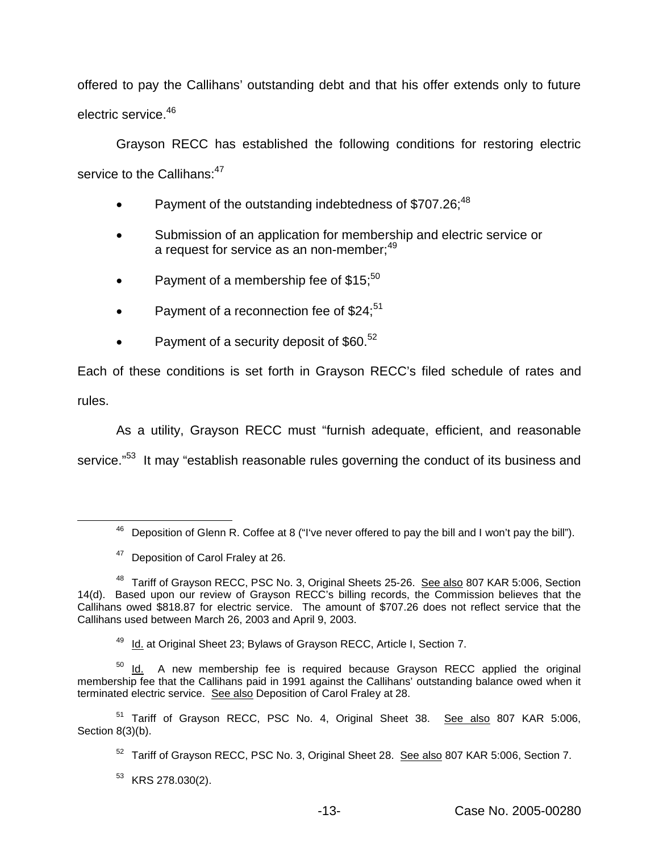offered to pay the Callihans' outstanding debt and that his offer extends only to future electric service.<sup>46</sup>

Grayson RECC has established the following conditions for restoring electric service to the Callihans: 47

- Payment of the outstanding indebtedness of \$707.26;<sup>48</sup>
- Submission of an application for membership and electric service or a request for service as an non-member:<sup>49</sup>
- Payment of a membership fee of \$15:<sup>50</sup>
- Payment of a reconnection fee of  $$24$ ;<sup>51</sup>
- Payment of a security deposit of  $$60.<sup>52</sup>$

Each of these conditions is set forth in Grayson RECC's filed schedule of rates and rules.

As a utility, Grayson RECC must "furnish adequate, efficient, and reasonable

service."<sup>53</sup> It may "establish reasonable rules governing the conduct of its business and

<sup>49</sup> Id. at Original Sheet 23; Bylaws of Grayson RECC, Article I, Section 7.

 $50$  Id. A new membership fee is required because Grayson RECC applied the original membership fee that the Callihans paid in 1991 against the Callihans' outstanding balance owed when it terminated electric service. See also Deposition of Carol Fralev at 28.

<sup>51</sup> Tariff of Grayson RECC, PSC No. 4, Original Sheet 38. See also 807 KAR 5:006, Section 8(3)(b).

 $46$  Deposition of Glenn R. Coffee at 8 ("I've never offered to pay the bill and I won't pay the bill").

<sup>&</sup>lt;sup>47</sup> Deposition of Carol Fraley at 26.

<sup>&</sup>lt;sup>48</sup> Tariff of Grayson RECC, PSC No. 3, Original Sheets 25-26. See also 807 KAR 5:006, Section 14(d). Based upon our review of Grayson RECC's billing records, the Commission believes that the Callihans owed \$818.87 for electric service. The amount of \$707.26 does not reflect service that the Callihans used between March 26, 2003 and April 9, 2003.

<sup>&</sup>lt;sup>52</sup> Tariff of Grayson RECC, PSC No. 3, Original Sheet 28. See also 807 KAR 5:006, Section 7.

 $53$  KRS 278.030(2).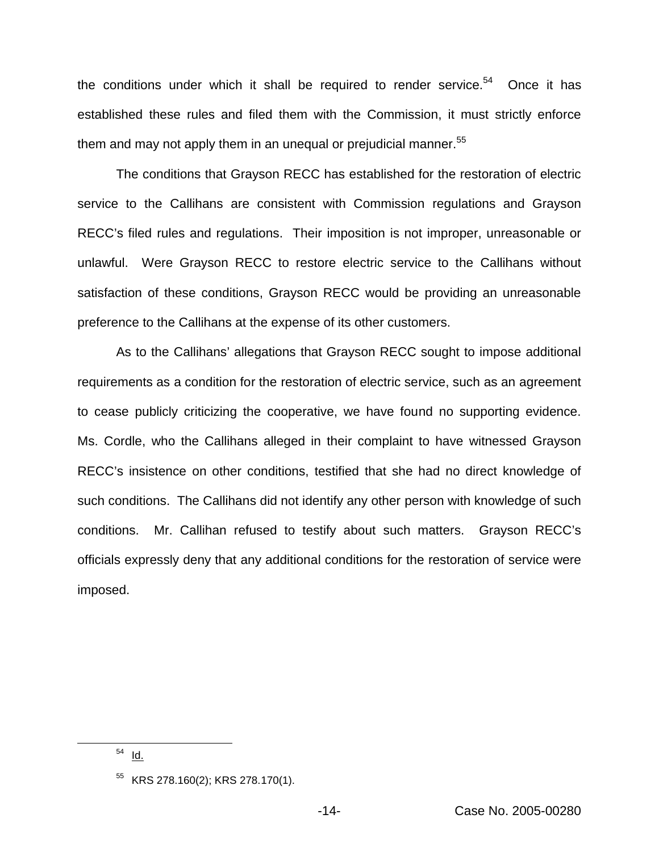the conditions under which it shall be required to render service. $54$  Once it has established these rules and filed them with the Commission, it must strictly enforce them and may not apply them in an unequal or prejudicial manner.  $55$ 

The conditions that Grayson RECC has established for the restoration of electric service to the Callihans are consistent with Commission regulations and Grayson RECC's filed rules and regulations. Their imposition is not improper, unreasonable or unlawful. Were Grayson RECC to restore electric service to the Callihans without satisfaction of these conditions, Grayson RECC would be providing an unreasonable preference to the Callihans at the expense of its other customers.

As to the Callihans' allegations that Grayson RECC sought to impose additional requirements as a condition for the restoration of electric service, such as an agreement to cease publicly criticizing the cooperative, we have found no supporting evidence. Ms. Cordle, who the Callihans alleged in their complaint to have witnessed Grayson RECC's insistence on other conditions, testified that she had no direct knowledge of such conditions. The Callihans did not identify any other person with knowledge of such conditions. Mr. Callihan refused to testify about such matters. Grayson RECC's officials expressly deny that any additional conditions for the restoration of service were imposed.

<sup>54</sup> Id.

 $55$  KRS 278.160(2); KRS 278.170(1).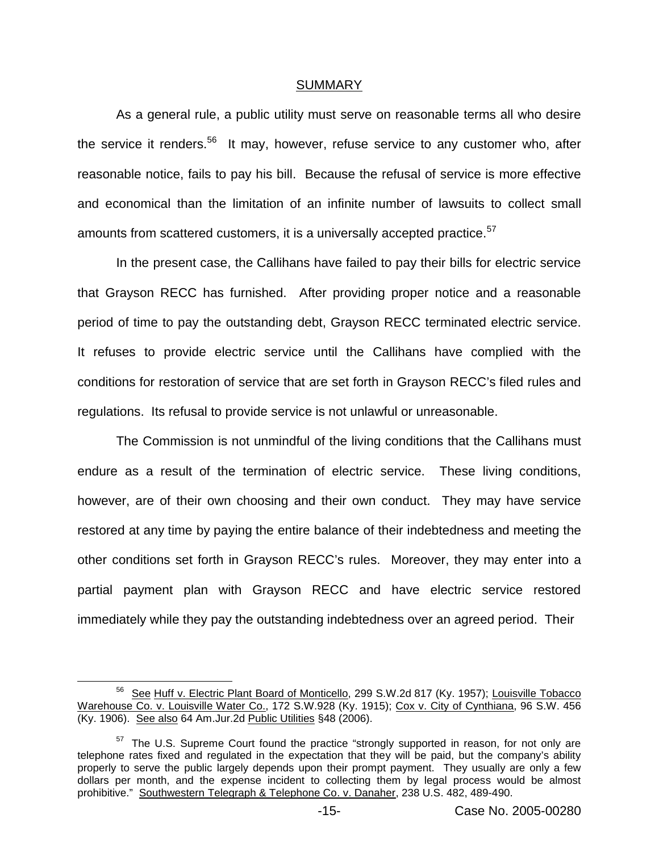#### SUMMARY

As a general rule, a public utility must serve on reasonable terms all who desire the service it renders.<sup>56</sup> It may, however, refuse service to any customer who, after reasonable notice, fails to pay his bill. Because the refusal of service is more effective and economical than the limitation of an infinite number of lawsuits to collect small amounts from scattered customers, it is a universally accepted practice.<sup>57</sup>

In the present case, the Callihans have failed to pay their bills for electric service that Grayson RECC has furnished. After providing proper notice and a reasonable period of time to pay the outstanding debt, Grayson RECC terminated electric service. It refuses to provide electric service until the Callihans have complied with the conditions for restoration of service that are set forth in Grayson RECC's filed rules and regulations. Its refusal to provide service is not unlawful or unreasonable.

The Commission is not unmindful of the living conditions that the Callihans must endure as a result of the termination of electric service. These living conditions, however, are of their own choosing and their own conduct. They may have service restored at any time by paying the entire balance of their indebtedness and meeting the other conditions set forth in Grayson RECC's rules. Moreover, they may enter into a partial payment plan with Grayson RECC and have electric service restored immediately while they pay the outstanding indebtedness over an agreed period. Their

<sup>&</sup>lt;sup>56</sup> See Huff v. Electric Plant Board of Monticello, 299 S.W.2d 817 (Ky. 1957); Louisville Tobacco Warehouse Co. v. Louisville Water Co., 172 S.W.928 (Ky. 1915); Cox v. City of Cynthiana, 96 S.W. 456 (Ky. 1906). See also 64 Am.Jur.2d Public Utilities §48 (2006).

 $57$  The U.S. Supreme Court found the practice "strongly supported in reason, for not only are telephone rates fixed and regulated in the expectation that they will be paid, but the company's ability properly to serve the public largely depends upon their prompt payment. They usually are only a few dollars per month, and the expense incident to collecting them by legal process would be almost prohibitive." Southwestern Telegraph & Telephone Co. v. Danaher, 238 U.S. 482, 489-490.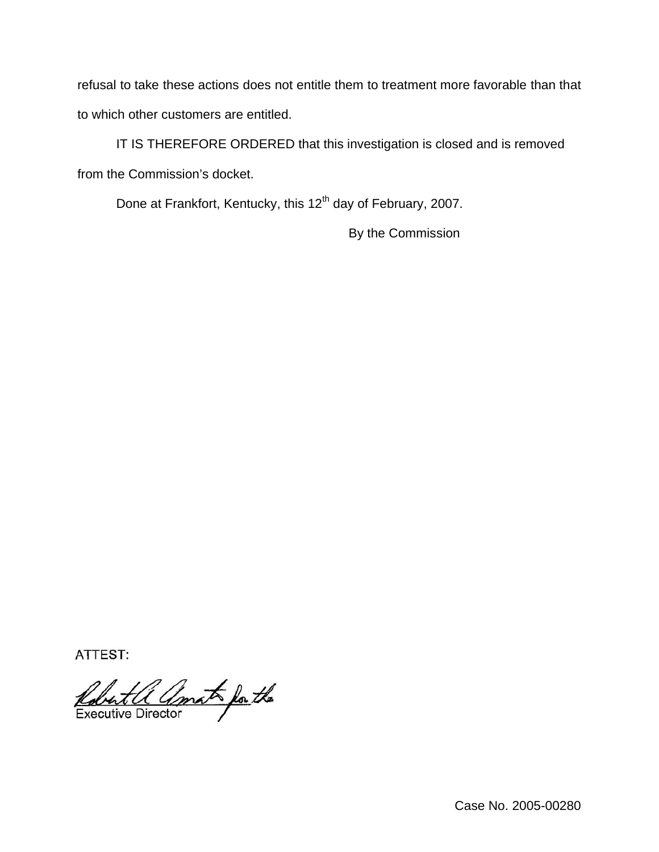refusal to take these actions does not entitle them to treatment more favorable than that to which other customers are entitled.

IT IS THEREFORE ORDERED that this investigation is closed and is removed from the Commission's docket.

Done at Frankfort, Kentucky, this 12<sup>th</sup> day of February, 2007.

By the Commission

ATTEST:

Robert a amato for the